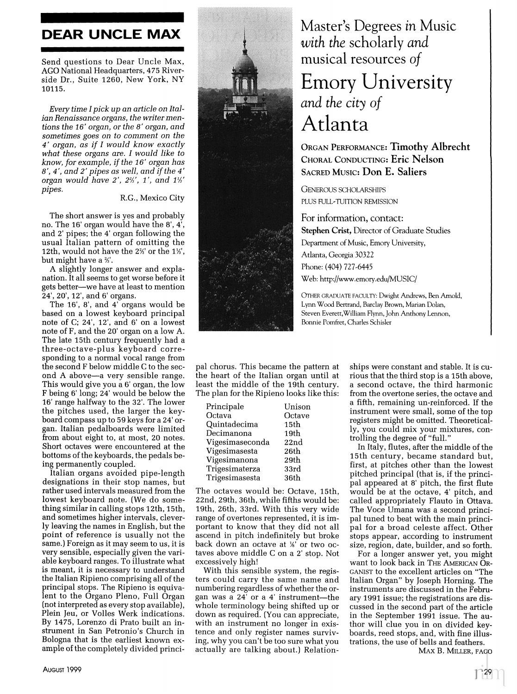## **DEAR UNCLE MAX**

Send questions to Dear Uncle Max, AGO National Headquarters, 475 Riverside Dr., Suite 1260, New York, NY 10115.

Every time I pick up an article on Italian Renaissance organs, the writer mentions the 16' organ, or the 8' organ, and sometimes goes on to comment on the 4' organ, as if I would know exactly what these organs are. I would like to know, for example, if the 16' organ has  $8'$ ,  $4'$ , and  $2'$  pipes as well, and if the  $4'$  organ would have  $2'$ ,  $2\frac{2}{3}$ ,  $1'$ , and  $1\frac{1}{3}$ pipes.

## R.G., Mexico City

The short answer is yes and probably no. The 16' organ would have the 8', 4', and 2' pipes; the 4' organ following the usual Italian pattern of omitting the 12th, would not have the 2%' or the 1%', but might have a %'.

A slightly longer answer and explanation. It all seems to get worse before it gets better—we have at least to mention<br>24', 20', 12', and 6' organs.

The 16', 8', and 4' organs would be based on a lowest keyboard principal note of C; 24', 12', and 6' on a lowest note of F, and the 20' organ on a low A. The late 15th century frequently had a three-octave-plus keyboard corresponding to a normal vocal range from the second F below middle C to the second A above-a very sensible range. This would give you a 6' organ, the low F being 6' long; 24' would be below the 16' range halfway to the 32'. The lower the pitches used, the larger the keyboard compass up to 59 keys for a 24' organ. Italian pedalboards were limited from about eight to, at most, 20 notes. Short octaves were encountered at the bottoms of the keyboards, the pedals being permanently coupled.

Italian organs avoided pipe-length designations in their stop names, but rather used intervals measured from the lowest keyboard note. (We do something similar in calling stops 12th, 15th, and sometimes higher intervals, cleverly leaving the names in English, but the point of reference is usually not the same.) Foreign as it may seem to us, it is very sensible, especially given the variable keyboard ranges. To illustrate what is meant, it is necessary to understand the Italian Ripieno comprising all of the principal stops. The Ripieno is equivalent to the Organo Pleno, Full Organ (not interpreted as every stop available), Plein Jeu, or Volles Werk indications. By 1475, Lorenzo di Prato built an instrument in San Petronio's Church in Bologna that is the earliest known example of the completely divided princi-



## Master's Degrees in Music with the scholarly and musical resources of

## **Emory University** and the city of Atlanta

**ORGAN PERFORMANCE: Timothy Albrecht** CHORAL CONDUCTING: Eric Nelson **SACRED MUSIC: Don E. Saliers** 

**GENEROUS SCHOLARSHIPS** PLUS FULL-TUITION REMISSION

For information, contact: **Stephen Crist, Director of Graduate Studies** Department of Music, Emory University, Atlanta, Georgia 30322 Phone: (404) 727-6445 Web: http://www.emory.edu/MUSIC/

OTHER GRADUATE FACULTY: Dwight Andrews, Ben Arnold, Lynn Wood Bertrand, Barclay Brown, Marian Dolan, Steven Everett, William Flynn, John Anthony Lennon, Bonnie Pomfret, Charles Schisler

pal chorus. This became the pattern at the heart of the Italian organ until at least the middle of the 19th century. The plan for the Ripieno looks like this:

| Principale      | Unison |
|-----------------|--------|
| Octava          | Octave |
| Quintadecima    | 15th   |
| Decimanona      | 19th   |
| Vigesimaseconda | 22nd   |
| Vigesimasesta   | 26th   |
| Vigesimanona    | 29th   |
| Trigesimaterza  | 33rd   |
| Trigesimasesta  | 36th   |

The octaves would be: Octave, 15th, 22nd, 29th, 36th, while fifths would be: 19th, 26th, 33rd. With this very wide range of overtones represented, it is important to know that they did not all ascend in pitch indefinitely but broke back down an octave at %' or two octaves above middle C on a 2' stop. Not excessively high!

With this sensible system, the registers could carry the same name and numbering regardless of whether the organ was a 24' or a 4' instrument-the whole terminology being shifted up or down as required. (You can appreciate, with an instrument no longer in existence and only register names surviving, why you can't be too sure what you actually are talking about.) Relationships were constant and stable. It is curious that the third stop is a 15th above, a second octave, the third harmonic from the overtone series, the octave and a fifth, remaining un-reinforced. If the instrument were small, some of the top registers might be omitted. Theoretically, you could mix your mixtures, controlling the degree of "full."

In Italy, flutes, after the middle of the 15th century, became standard but, first, at pitches other than the lowest pitched principal (that is, if the principal appeared at 8' pitch, the first flute would be at the octave, 4' pitch, and called appropriately Flauto in Ottava. The Voce Umana was a second principal tuned to beat with the main principal for a broad celeste affect. Other stops appear, according to instrument size, region, date, builder, and so forth.

For a longer answer yet, you might want to look back in THE AMERICAN OR-GANIST to the excellent articles on "The Italian Organ" by Joseph Horning. The instruments are discussed in the February 1991 issue; the registrations are discussed in the second part of the article in the September 1991 issue. The author will clue you in on divided keyboards, reed stops, and, with fine illustrations, the use of bells and feathers.

MAX B. MILLER, FAGO